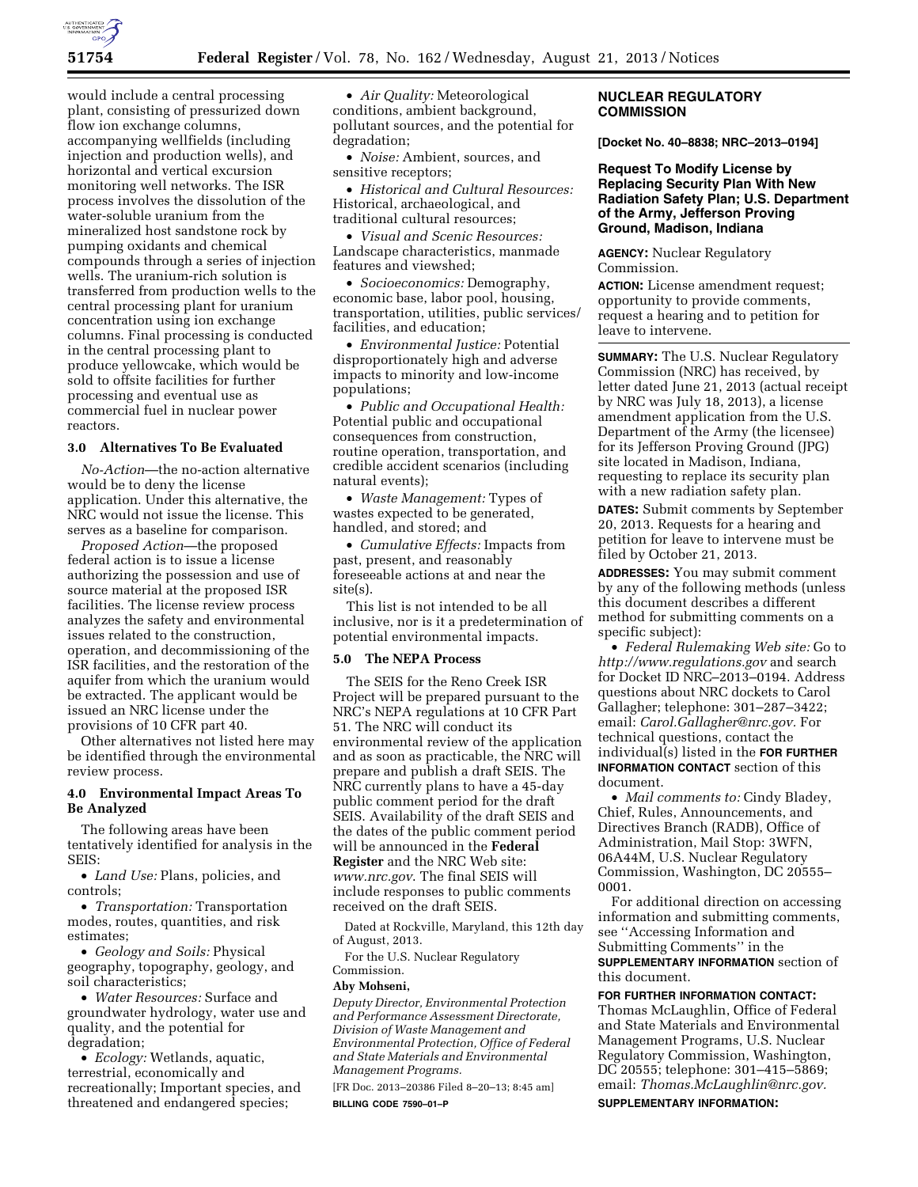

would include a central processing plant, consisting of pressurized down flow ion exchange columns, accompanying wellfields (including injection and production wells), and horizontal and vertical excursion monitoring well networks. The ISR process involves the dissolution of the water-soluble uranium from the mineralized host sandstone rock by pumping oxidants and chemical compounds through a series of injection wells. The uranium-rich solution is transferred from production wells to the central processing plant for uranium concentration using ion exchange columns. Final processing is conducted in the central processing plant to produce yellowcake, which would be sold to offsite facilities for further processing and eventual use as commercial fuel in nuclear power reactors.

# **3.0 Alternatives To Be Evaluated**

*No-Action*—the no-action alternative would be to deny the license application. Under this alternative, the NRC would not issue the license. This serves as a baseline for comparison.

*Proposed Action*—the proposed federal action is to issue a license authorizing the possession and use of source material at the proposed ISR facilities. The license review process analyzes the safety and environmental issues related to the construction, operation, and decommissioning of the ISR facilities, and the restoration of the aquifer from which the uranium would be extracted. The applicant would be issued an NRC license under the provisions of 10 CFR part 40.

Other alternatives not listed here may be identified through the environmental review process.

# **4.0 Environmental Impact Areas To Be Analyzed**

The following areas have been tentatively identified for analysis in the SEIS:

• *Land Use:* Plans, policies, and controls;

• *Transportation:* Transportation modes, routes, quantities, and risk estimates;

• *Geology and Soils:* Physical geography, topography, geology, and soil characteristics;

• *Water Resources:* Surface and groundwater hydrology, water use and quality, and the potential for degradation;

• *Ecology:* Wetlands, aquatic, terrestrial, economically and recreationally; Important species, and threatened and endangered species;

• *Air Quality:* Meteorological conditions, ambient background, pollutant sources, and the potential for degradation;

• *Noise:* Ambient, sources, and sensitive receptors;

• *Historical and Cultural Resources:*  Historical, archaeological, and traditional cultural resources;

• *Visual and Scenic Resources:*  Landscape characteristics, manmade features and viewshed;

• *Socioeconomics:* Demography, economic base, labor pool, housing, transportation, utilities, public services/ facilities, and education;

• *Environmental Justice:* Potential disproportionately high and adverse impacts to minority and low-income populations;

• *Public and Occupational Health:*  Potential public and occupational consequences from construction, routine operation, transportation, and credible accident scenarios (including natural events);

• *Waste Management:* Types of wastes expected to be generated, handled, and stored; and

• *Cumulative Effects:* Impacts from past, present, and reasonably foreseeable actions at and near the site(s).

This list is not intended to be all inclusive, nor is it a predetermination of potential environmental impacts.

# **5.0 The NEPA Process**

The SEIS for the Reno Creek ISR Project will be prepared pursuant to the NRC's NEPA regulations at 10 CFR Part 51. The NRC will conduct its environmental review of the application and as soon as practicable, the NRC will prepare and publish a draft SEIS. The NRC currently plans to have a 45-day public comment period for the draft SEIS. Availability of the draft SEIS and the dates of the public comment period will be announced in the **Federal Register** and the NRC Web site: *[www.nrc.gov](http://www.nrc.gov)*. The final SEIS will include responses to public comments received on the draft SEIS.

Dated at Rockville, Maryland, this 12th day of August, 2013.

For the U.S. Nuclear Regulatory

# Commission.

**Aby Mohseni,** 

*Deputy Director, Environmental Protection and Performance Assessment Directorate, Division of Waste Management and Environmental Protection, Office of Federal and State Materials and Environmental Management Programs.* 

[FR Doc. 2013–20386 Filed 8–20–13; 8:45 am] **BILLING CODE 7590–01–P** 

# **NUCLEAR REGULATORY COMMISSION**

**[Docket No. 40–8838; NRC–2013–0194]** 

**Request To Modify License by Replacing Security Plan With New Radiation Safety Plan; U.S. Department of the Army, Jefferson Proving Ground, Madison, Indiana** 

**AGENCY:** Nuclear Regulatory Commission.

**ACTION:** License amendment request; opportunity to provide comments, request a hearing and to petition for leave to intervene.

**SUMMARY:** The U.S. Nuclear Regulatory Commission (NRC) has received, by letter dated June 21, 2013 (actual receipt by NRC was July 18, 2013), a license amendment application from the U.S. Department of the Army (the licensee) for its Jefferson Proving Ground (JPG) site located in Madison, Indiana, requesting to replace its security plan with a new radiation safety plan.

**DATES:** Submit comments by September 20, 2013. Requests for a hearing and petition for leave to intervene must be filed by October 21, 2013.

**ADDRESSES:** You may submit comment by any of the following methods (unless this document describes a different method for submitting comments on a specific subject):

• *Federal Rulemaking Web site:* Go to *<http://www.regulations.gov>* and search for Docket ID NRC–2013–0194. Address questions about NRC dockets to Carol Gallagher; telephone: 301–287–3422; email: *[Carol.Gallagher@nrc.gov.](mailto:Carol.Gallagher@nrc.gov)* For technical questions, contact the individual(s) listed in the **FOR FURTHER INFORMATION CONTACT** section of this document.

• *Mail comments to:* Cindy Bladey, Chief, Rules, Announcements, and Directives Branch (RADB), Office of Administration, Mail Stop: 3WFN, 06A44M, U.S. Nuclear Regulatory Commission, Washington, DC 20555– 0001.

For additional direction on accessing information and submitting comments, see ''Accessing Information and Submitting Comments'' in the **SUPPLEMENTARY INFORMATION** section of this document.

**FOR FURTHER INFORMATION CONTACT:**  Thomas McLaughlin, Office of Federal and State Materials and Environmental Management Programs, U.S. Nuclear Regulatory Commission, Washington, DC 20555; telephone: 301–415–5869; email: *[Thomas.McLaughlin@nrc.gov.](mailto:Thomas.McLaughlin@nrc.gov)* 

**SUPPLEMENTARY INFORMATION:**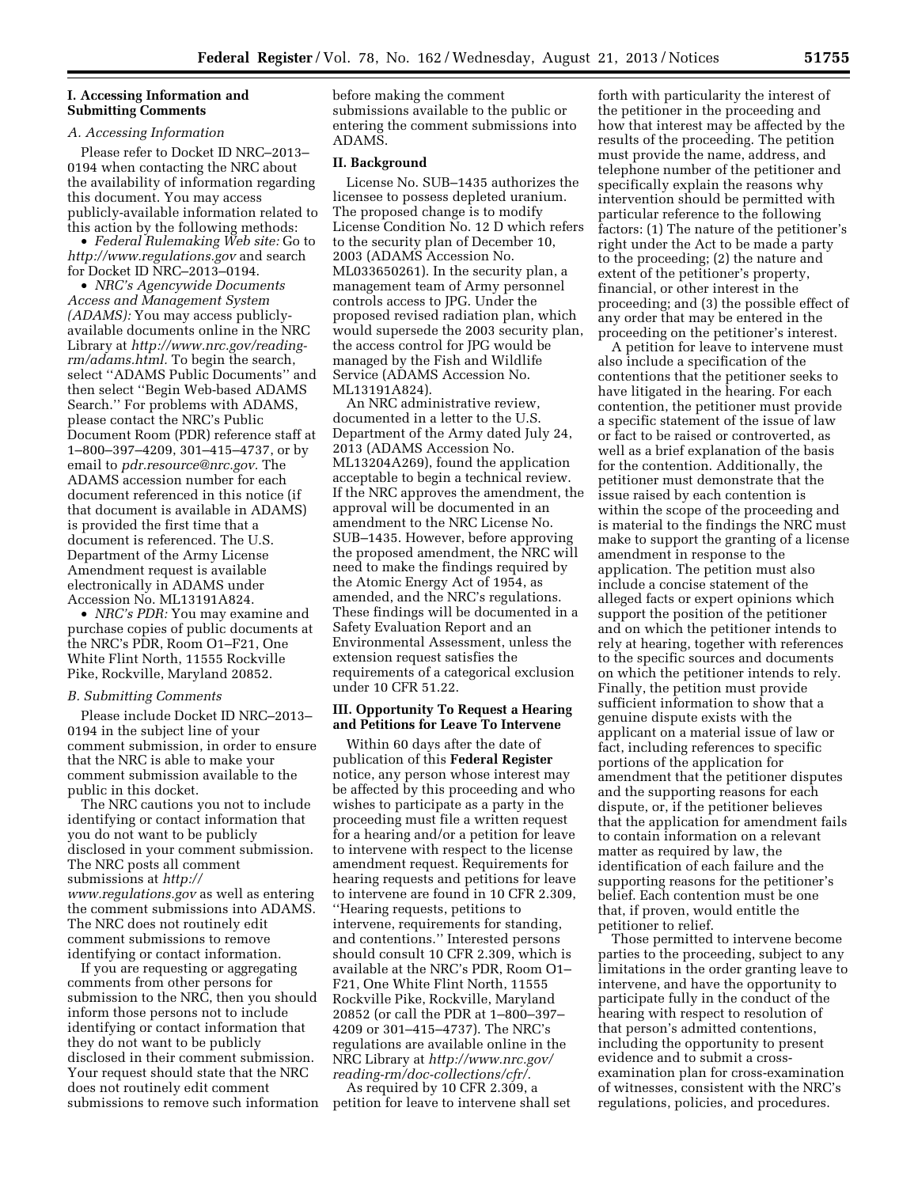## **I. Accessing Information and Submitting Comments**

#### *A. Accessing Information*

Please refer to Docket ID NRC–2013– 0194 when contacting the NRC about the availability of information regarding this document. You may access publicly-available information related to this action by the following methods:

• *Federal Rulemaking Web site:* Go to *<http://www.regulations.gov>* and search for Docket ID NRC–2013–0194.

• *NRC's Agencywide Documents Access and Management System (ADAMS):* You may access publiclyavailable documents online in the NRC Library at *[http://www.nrc.gov/reading](http://www.nrc.gov/reading-rm/adams.html)[rm/adams.html.](http://www.nrc.gov/reading-rm/adams.html)* To begin the search, select ''ADAMS Public Documents'' and then select ''Begin Web-based ADAMS Search.'' For problems with ADAMS, please contact the NRC's Public Document Room (PDR) reference staff at 1–800–397–4209, 301–415–4737, or by email to *[pdr.resource@nrc.gov.](mailto:pdr.resource@nrc.gov)* The ADAMS accession number for each document referenced in this notice (if that document is available in ADAMS) is provided the first time that a document is referenced. The U.S. Department of the Army License Amendment request is available electronically in ADAMS under Accession No. ML13191A824.

• *NRC's PDR:* You may examine and purchase copies of public documents at the NRC's PDR, Room O1–F21, One White Flint North, 11555 Rockville Pike, Rockville, Maryland 20852.

#### *B. Submitting Comments*

Please include Docket ID NRC–2013– 0194 in the subject line of your comment submission, in order to ensure that the NRC is able to make your comment submission available to the public in this docket.

The NRC cautions you not to include identifying or contact information that you do not want to be publicly disclosed in your comment submission. The NRC posts all comment submissions at *[http://](http://www.regulations.gov) [www.regulations.gov](http://www.regulations.gov)* as well as entering the comment submissions into ADAMS. The NRC does not routinely edit comment submissions to remove identifying or contact information.

If you are requesting or aggregating comments from other persons for submission to the NRC, then you should inform those persons not to include identifying or contact information that they do not want to be publicly disclosed in their comment submission. Your request should state that the NRC does not routinely edit comment submissions to remove such information before making the comment submissions available to the public or entering the comment submissions into ADAMS.

# **II. Background**

License No. SUB–1435 authorizes the licensee to possess depleted uranium. The proposed change is to modify License Condition No. 12 D which refers to the security plan of December 10, 2003 (ADAMS Accession No. ML033650261). In the security plan, a management team of Army personnel controls access to JPG. Under the proposed revised radiation plan, which would supersede the 2003 security plan, the access control for JPG would be managed by the Fish and Wildlife Service (ADAMS Accession No. ML13191A824).

An NRC administrative review, documented in a letter to the U.S. Department of the Army dated July 24, 2013 (ADAMS Accession No. ML13204A269), found the application acceptable to begin a technical review. If the NRC approves the amendment, the approval will be documented in an amendment to the NRC License No. SUB–1435. However, before approving the proposed amendment, the NRC will need to make the findings required by the Atomic Energy Act of 1954, as amended, and the NRC's regulations. These findings will be documented in a Safety Evaluation Report and an Environmental Assessment, unless the extension request satisfies the requirements of a categorical exclusion under 10 CFR 51.22.

## **III. Opportunity To Request a Hearing and Petitions for Leave To Intervene**

Within 60 days after the date of publication of this **Federal Register**  notice, any person whose interest may be affected by this proceeding and who wishes to participate as a party in the proceeding must file a written request for a hearing and/or a petition for leave to intervene with respect to the license amendment request. Requirements for hearing requests and petitions for leave to intervene are found in 10 CFR 2.309, ''Hearing requests, petitions to intervene, requirements for standing, and contentions.'' Interested persons should consult 10 CFR 2.309, which is available at the NRC's PDR, Room O1– F21, One White Flint North, 11555 Rockville Pike, Rockville, Maryland 20852 (or call the PDR at 1–800–397– 4209 or 301–415–4737). The NRC's regulations are available online in the NRC Library at *[http://www.nrc.gov/](http://www.nrc.gov/reading-rm/doc-collections/cfr/) [reading-rm/doc-collections/cfr/.](http://www.nrc.gov/reading-rm/doc-collections/cfr/)* 

As required by 10 CFR 2.309, a petition for leave to intervene shall set

forth with particularity the interest of the petitioner in the proceeding and how that interest may be affected by the results of the proceeding. The petition must provide the name, address, and telephone number of the petitioner and specifically explain the reasons why intervention should be permitted with particular reference to the following factors: (1) The nature of the petitioner's right under the Act to be made a party to the proceeding; (2) the nature and extent of the petitioner's property, financial, or other interest in the proceeding; and (3) the possible effect of any order that may be entered in the proceeding on the petitioner's interest.

A petition for leave to intervene must also include a specification of the contentions that the petitioner seeks to have litigated in the hearing. For each contention, the petitioner must provide a specific statement of the issue of law or fact to be raised or controverted, as well as a brief explanation of the basis for the contention. Additionally, the petitioner must demonstrate that the issue raised by each contention is within the scope of the proceeding and is material to the findings the NRC must make to support the granting of a license amendment in response to the application. The petition must also include a concise statement of the alleged facts or expert opinions which support the position of the petitioner and on which the petitioner intends to rely at hearing, together with references to the specific sources and documents on which the petitioner intends to rely. Finally, the petition must provide sufficient information to show that a genuine dispute exists with the applicant on a material issue of law or fact, including references to specific portions of the application for amendment that the petitioner disputes and the supporting reasons for each dispute, or, if the petitioner believes that the application for amendment fails to contain information on a relevant matter as required by law, the identification of each failure and the supporting reasons for the petitioner's belief. Each contention must be one that, if proven, would entitle the petitioner to relief.

Those permitted to intervene become parties to the proceeding, subject to any limitations in the order granting leave to intervene, and have the opportunity to participate fully in the conduct of the hearing with respect to resolution of that person's admitted contentions, including the opportunity to present evidence and to submit a crossexamination plan for cross-examination of witnesses, consistent with the NRC's regulations, policies, and procedures.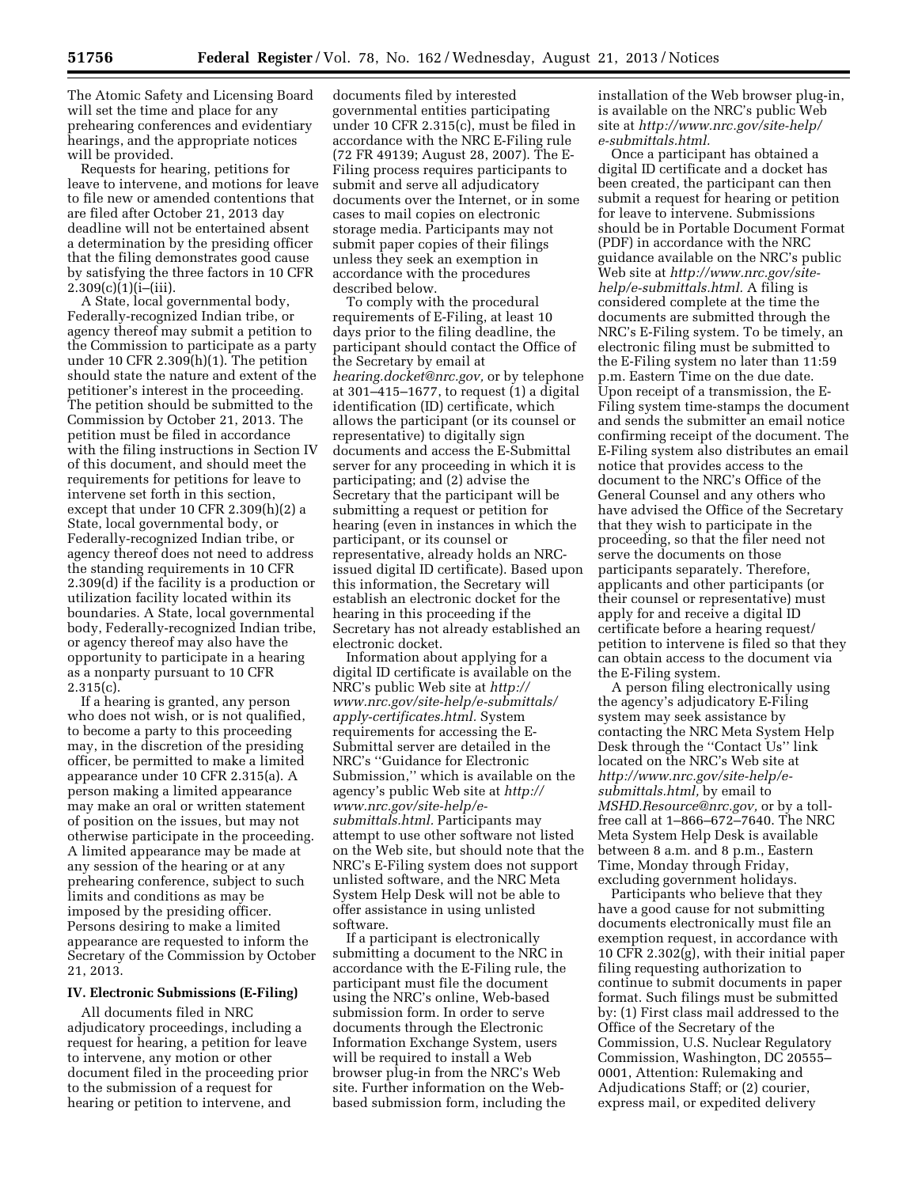The Atomic Safety and Licensing Board will set the time and place for any prehearing conferences and evidentiary hearings, and the appropriate notices will be provided.

Requests for hearing, petitions for leave to intervene, and motions for leave to file new or amended contentions that are filed after October 21, 2013 day deadline will not be entertained absent a determination by the presiding officer that the filing demonstrates good cause by satisfying the three factors in 10 CFR  $2.309(c)(1)(i-[iii)].$ 

A State, local governmental body, Federally-recognized Indian tribe, or agency thereof may submit a petition to the Commission to participate as a party under 10 CFR  $2.309(h)(1)$ . The petition should state the nature and extent of the petitioner's interest in the proceeding. The petition should be submitted to the Commission by October 21, 2013. The petition must be filed in accordance with the filing instructions in Section IV of this document, and should meet the requirements for petitions for leave to intervene set forth in this section, except that under 10 CFR 2.309(h)(2) a State, local governmental body, or Federally-recognized Indian tribe, or agency thereof does not need to address the standing requirements in 10 CFR 2.309(d) if the facility is a production or utilization facility located within its boundaries. A State, local governmental body, Federally-recognized Indian tribe, or agency thereof may also have the opportunity to participate in a hearing as a nonparty pursuant to 10 CFR  $2.315(c)$ .

If a hearing is granted, any person who does not wish, or is not qualified, to become a party to this proceeding may, in the discretion of the presiding officer, be permitted to make a limited appearance under 10 CFR 2.315(a). A person making a limited appearance may make an oral or written statement of position on the issues, but may not otherwise participate in the proceeding. A limited appearance may be made at any session of the hearing or at any prehearing conference, subject to such limits and conditions as may be imposed by the presiding officer. Persons desiring to make a limited appearance are requested to inform the Secretary of the Commission by October 21, 2013.

## **IV. Electronic Submissions (E-Filing)**

All documents filed in NRC adjudicatory proceedings, including a request for hearing, a petition for leave to intervene, any motion or other document filed in the proceeding prior to the submission of a request for hearing or petition to intervene, and

documents filed by interested governmental entities participating under 10 CFR 2.315(c), must be filed in accordance with the NRC E-Filing rule (72 FR 49139; August 28, 2007). The E-Filing process requires participants to submit and serve all adjudicatory documents over the Internet, or in some cases to mail copies on electronic storage media. Participants may not submit paper copies of their filings unless they seek an exemption in accordance with the procedures described below.

To comply with the procedural requirements of E-Filing, at least 10 days prior to the filing deadline, the participant should contact the Office of the Secretary by email at *[hearing.docket@nrc.gov,](mailto:hearing.docket@nrc.gov)* or by telephone at 301–415–1677, to request (1) a digital identification (ID) certificate, which allows the participant (or its counsel or representative) to digitally sign documents and access the E-Submittal server for any proceeding in which it is participating; and (2) advise the Secretary that the participant will be submitting a request or petition for hearing (even in instances in which the participant, or its counsel or representative, already holds an NRCissued digital ID certificate). Based upon this information, the Secretary will establish an electronic docket for the hearing in this proceeding if the Secretary has not already established an electronic docket.

Information about applying for a digital ID certificate is available on the NRC's public Web site at *[http://](http://www.nrc.gov/site-help/e-submittals/apply-certificates.html) [www.nrc.gov/site-help/e-submittals/](http://www.nrc.gov/site-help/e-submittals/apply-certificates.html) [apply-certificates.html.](http://www.nrc.gov/site-help/e-submittals/apply-certificates.html)* System requirements for accessing the E-Submittal server are detailed in the NRC's ''Guidance for Electronic Submission,'' which is available on the agency's public Web site at *[http://](http://www.nrc.gov/site-help/e-submittals.html) [www.nrc.gov/site-help/e](http://www.nrc.gov/site-help/e-submittals.html)[submittals.html.](http://www.nrc.gov/site-help/e-submittals.html)* Participants may attempt to use other software not listed on the Web site, but should note that the NRC's E-Filing system does not support unlisted software, and the NRC Meta System Help Desk will not be able to offer assistance in using unlisted software.

If a participant is electronically submitting a document to the NRC in accordance with the E-Filing rule, the participant must file the document using the NRC's online, Web-based submission form. In order to serve documents through the Electronic Information Exchange System, users will be required to install a Web browser plug-in from the NRC's Web site. Further information on the Webbased submission form, including the installation of the Web browser plug-in, is available on the NRC's public Web site at *[http://www.nrc.gov/site-help/](http://www.nrc.gov/site-help/e-submittals.html) [e-submittals.html.](http://www.nrc.gov/site-help/e-submittals.html)* 

Once a participant has obtained a digital ID certificate and a docket has been created, the participant can then submit a request for hearing or petition for leave to intervene. Submissions should be in Portable Document Format (PDF) in accordance with the NRC guidance available on the NRC's public Web site at *[http://www.nrc.gov/site](http://www.nrc.gov/site-help/e-submittals.html)[help/e-submittals.html.](http://www.nrc.gov/site-help/e-submittals.html)* A filing is considered complete at the time the documents are submitted through the NRC's E-Filing system. To be timely, an electronic filing must be submitted to the E-Filing system no later than 11:59 p.m. Eastern Time on the due date. Upon receipt of a transmission, the E-Filing system time-stamps the document and sends the submitter an email notice confirming receipt of the document. The E-Filing system also distributes an email notice that provides access to the document to the NRC's Office of the General Counsel and any others who have advised the Office of the Secretary that they wish to participate in the proceeding, so that the filer need not serve the documents on those participants separately. Therefore, applicants and other participants (or their counsel or representative) must apply for and receive a digital ID certificate before a hearing request/ petition to intervene is filed so that they can obtain access to the document via the E-Filing system.

A person filing electronically using the agency's adjudicatory E-Filing system may seek assistance by contacting the NRC Meta System Help Desk through the ''Contact Us'' link located on the NRC's Web site at *[http://www.nrc.gov/site-help/e](http://www.nrc.gov/site-help/e-submittals.html)[submittals.html,](http://www.nrc.gov/site-help/e-submittals.html)* by email to *[MSHD.Resource@nrc.gov,](mailto:MSHD.Resource@nrc.gov)* or by a tollfree call at 1–866–672–7640. The NRC Meta System Help Desk is available between 8 a.m. and 8 p.m., Eastern Time, Monday through Friday, excluding government holidays.

Participants who believe that they have a good cause for not submitting documents electronically must file an exemption request, in accordance with 10 CFR 2.302(g), with their initial paper filing requesting authorization to continue to submit documents in paper format. Such filings must be submitted by: (1) First class mail addressed to the Office of the Secretary of the Commission, U.S. Nuclear Regulatory Commission, Washington, DC 20555– 0001, Attention: Rulemaking and Adjudications Staff; or (2) courier, express mail, or expedited delivery